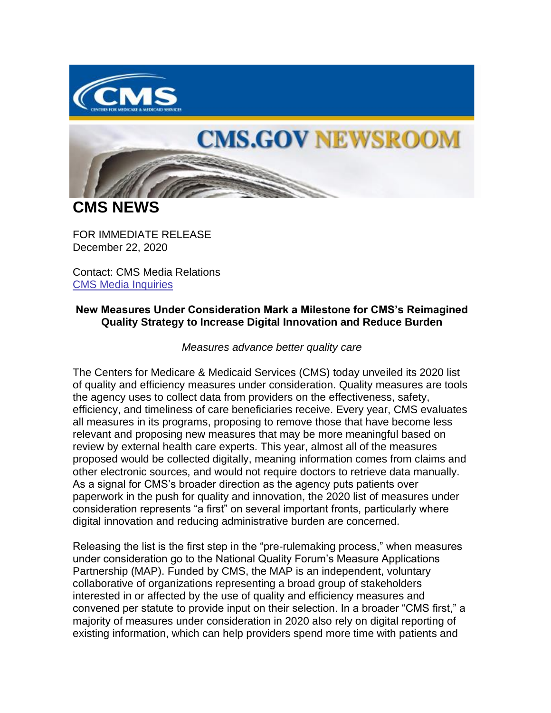

## **CMS.GOV NEWSROOM**

**CMS NEWS**

FOR IMMEDIATE RELEASE December 22, 2020

Contact: CMS Media Relations [CMS Media Inquiries](https://lnks.gd/l/eyJhbGciOiJIUzI1NiJ9.eyJidWxsZXRpbl9saW5rX2lkIjoxMDAsInVyaSI6ImJwMjpjbGljayIsImJ1bGxldGluX2lkIjoiMjAyMDEyMjIuMzI0MTE0NTEiLCJ1cmwiOiJodHRwczovL3d3dy5jbXMuZ292L25ld3Nyb29tL21lZGlhLWlucXVpcmllcyJ9.djUiydLV-ZrJPFlow_lCZ-ZmaCC-g9nmw95GKqoToug/s/1086872215/br/92292102711-l)

## **New Measures Under Consideration Mark a Milestone for CMS's Reimagined Quality Strategy to Increase Digital Innovation and Reduce Burden**

*Measures advance better quality care* 

The Centers for Medicare & Medicaid Services (CMS) today unveiled its 2020 list of quality and efficiency measures under consideration. Quality measures are tools the agency uses to collect data from providers on the effectiveness, safety, efficiency, and timeliness of care beneficiaries receive. Every year, CMS evaluates all measures in its programs, proposing to remove those that have become less relevant and proposing new measures that may be more meaningful based on review by external health care experts. This year, almost all of the measures proposed would be collected digitally, meaning information comes from claims and other electronic sources, and would not require doctors to retrieve data manually. As a signal for CMS's broader direction as the agency puts patients over paperwork in the push for quality and innovation, the 2020 list of measures under consideration represents "a first" on several important fronts, particularly where digital innovation and reducing administrative burden are concerned.

Releasing the list is the first step in the "pre-rulemaking process," when measures under consideration go to the National Quality Forum's Measure Applications Partnership (MAP). Funded by CMS, the MAP is an independent, voluntary collaborative of organizations representing a broad group of stakeholders interested in or affected by the use of quality and efficiency measures and convened per statute to provide input on their selection. In a broader "CMS first," a majority of measures under consideration in 2020 also rely on digital reporting of existing information, which can help providers spend more time with patients and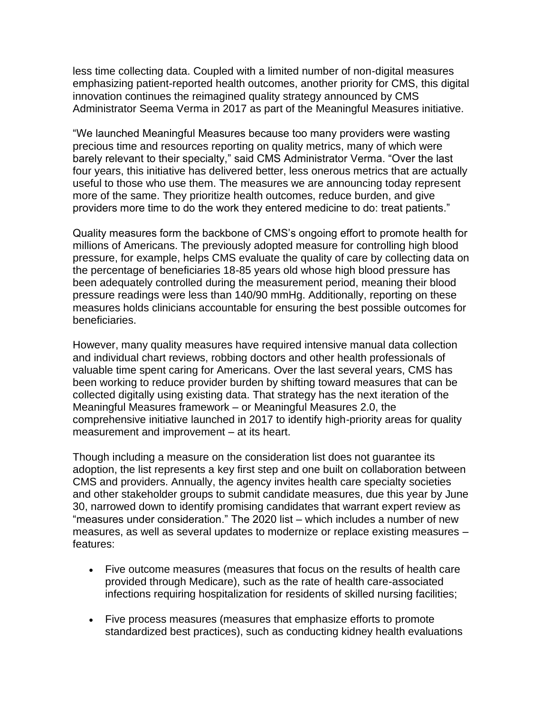less time collecting data. Coupled with a limited number of non-digital measures emphasizing patient-reported health outcomes, another priority for CMS, this digital innovation continues the reimagined quality strategy announced by CMS Administrator Seema Verma in 2017 as part of the Meaningful Measures initiative.

"We launched Meaningful Measures because too many providers were wasting precious time and resources reporting on quality metrics, many of which were barely relevant to their specialty," said CMS Administrator Verma. "Over the last four years, this initiative has delivered better, less onerous metrics that are actually useful to those who use them. The measures we are announcing today represent more of the same. They prioritize health outcomes, reduce burden, and give providers more time to do the work they entered medicine to do: treat patients."

Quality measures form the backbone of CMS's ongoing effort to promote health for millions of Americans. The previously adopted measure for controlling high blood pressure, for example, helps CMS evaluate the quality of care by collecting data on the percentage of beneficiaries 18-85 years old whose high blood pressure has been adequately controlled during the measurement period, meaning their blood pressure readings were less than 140/90 mmHg. Additionally, reporting on these measures holds clinicians accountable for ensuring the best possible outcomes for beneficiaries.

However, many quality measures have required intensive manual data collection and individual chart reviews, robbing doctors and other health professionals of valuable time spent caring for Americans. Over the last several years, CMS has been working to reduce provider burden by shifting toward measures that can be collected digitally using existing data. That strategy has the next iteration of the Meaningful Measures framework – or Meaningful Measures 2.0, the comprehensive initiative launched in 2017 to identify high-priority areas for quality measurement and improvement – at its heart.

Though including a measure on the consideration list does not guarantee its adoption, the list represents a key first step and one built on collaboration between CMS and providers. Annually, the agency invites health care specialty societies and other stakeholder groups to submit candidate measures, due this year by June 30, narrowed down to identify promising candidates that warrant expert review as "measures under consideration." The 2020 list – which includes a number of new measures, as well as several updates to modernize or replace existing measures – features:

- Five outcome measures (measures that focus on the results of health care provided through Medicare), such as the rate of health care-associated infections requiring hospitalization for residents of skilled nursing facilities;
- Five process measures (measures that emphasize efforts to promote standardized best practices), such as conducting kidney health evaluations